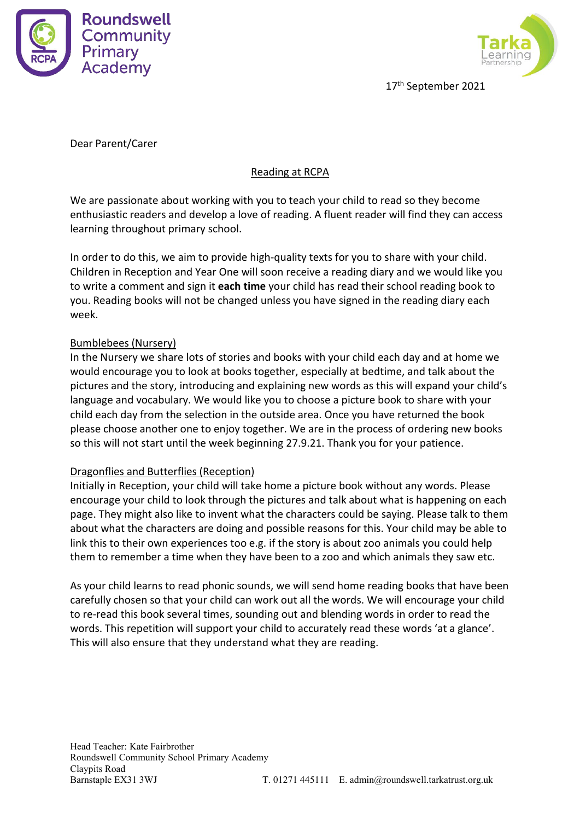



17 th September 2021

Dear Parent/Carer

## Reading at RCPA

We are passionate about working with you to teach your child to read so they become enthusiastic readers and develop a love of reading.A fluent reader will find they can access learning throughout primary school.

In order to do this, we aim to provide high-quality texts for you to share with your child. Children in Reception and Year One will soon receive a reading diary and we would like you to write a comment and sign it **each time** your child has read their school reading book to you. Reading books will not be changed unless you have signed in the reading diary each week.

## Bumblebees (Nursery)

In the Nursery we share lots of stories and books with your child each day and at home we would encourage you to look at books together, especially at bedtime, and talk about the pictures and the story, introducing and explaining new words as this will expand your child's language and vocabulary. We would like you to choose a picture book to share with your child each day from the selection in the outside area. Once you have returned the book please choose another one to enjoy together. We are in the process of ordering new books so this will not start until the week beginning 27.9.21. Thank you for your patience.

## Dragonflies and Butterflies (Reception)

Initially in Reception, your child will take home a picture book without any words. Please encourage your child to look through the pictures and talk about what is happening on each page. They might also like to invent what the characters could be saying. Please talk to them about what the characters are doing and possible reasons for this. Your child may be able to link this to their own experiences too e.g. if the story is about zoo animals you could help them to remember a time when they have been to a zoo and which animals they saw etc.

As your child learns to read phonic sounds, we will send home reading books that have been carefully chosen so that your child can work out all the words. We will encourage your child to re-read this book several times, sounding out and blending words in order to read the words. This repetition will support your child to accurately read these words 'at a glance'. This will also ensure that they understand what they are reading.